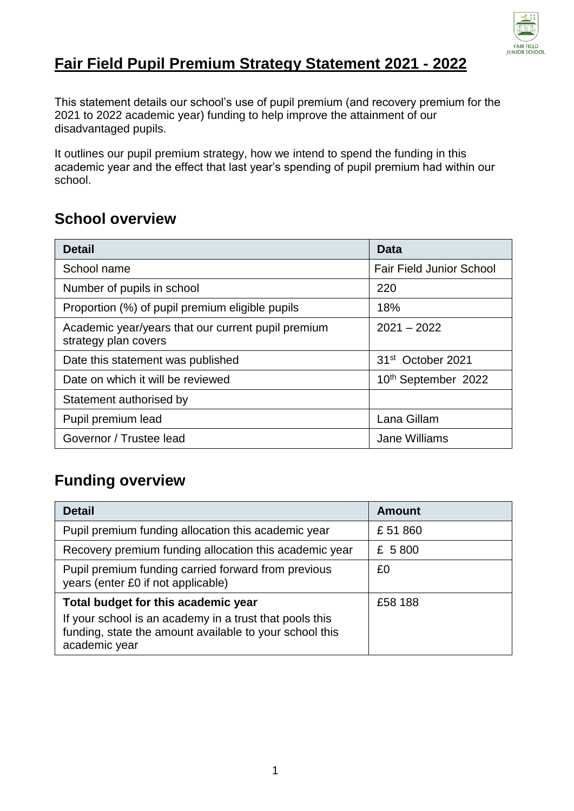

#### **Fair Field Pupil Premium Strategy Statement 2021 - 2022**

This statement details our school's use of pupil premium (and recovery premium for the 2021 to 2022 academic year) funding to help improve the attainment of our disadvantaged pupils.

It outlines our pupil premium strategy, how we intend to spend the funding in this academic year and the effect that last year's spending of pupil premium had within our school.

### **School overview**

| <b>Detail</b>                                                              | Data                            |
|----------------------------------------------------------------------------|---------------------------------|
| School name                                                                | <b>Fair Field Junior School</b> |
| Number of pupils in school                                                 | 220                             |
| Proportion (%) of pupil premium eligible pupils                            | 18%                             |
| Academic year/years that our current pupil premium<br>strategy plan covers | $2021 - 2022$                   |
| Date this statement was published                                          | 31 <sup>st</sup> October 2021   |
| Date on which it will be reviewed                                          | 10th September 2022             |
| Statement authorised by                                                    |                                 |
| Pupil premium lead                                                         | Lana Gillam                     |
| Governor / Trustee lead                                                    | Jane Williams                   |

#### **Funding overview**

| <b>Detail</b>                                                                                                                                                              | Amount  |
|----------------------------------------------------------------------------------------------------------------------------------------------------------------------------|---------|
| Pupil premium funding allocation this academic year                                                                                                                        | £51860  |
| Recovery premium funding allocation this academic year                                                                                                                     | £ 5800  |
| Pupil premium funding carried forward from previous<br>£0<br>years (enter £0 if not applicable)                                                                            |         |
| Total budget for this academic year<br>If your school is an academy in a trust that pools this<br>funding, state the amount available to your school this<br>academic year | £58 188 |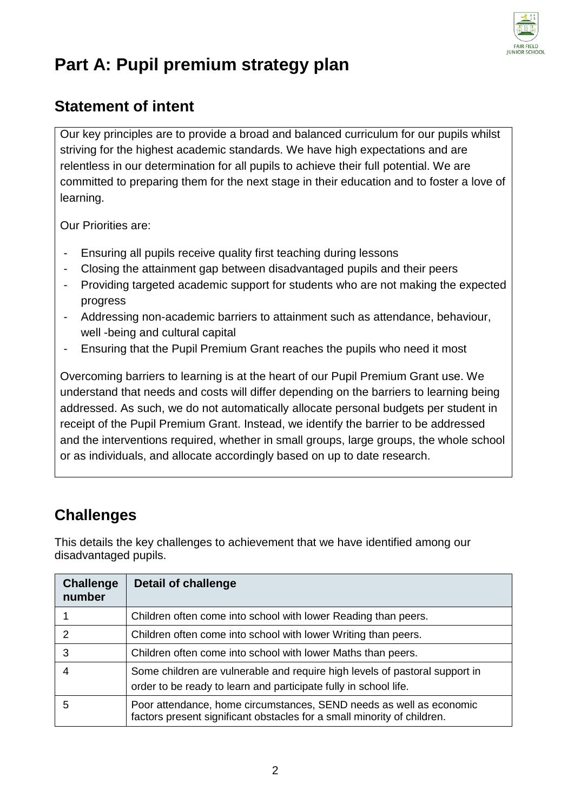

# **Part A: Pupil premium strategy plan**

#### **Statement of intent**

Our key principles are to provide a broad and balanced curriculum for our pupils whilst striving for the highest academic standards. We have high expectations and are relentless in our determination for all pupils to achieve their full potential. We are committed to preparing them for the next stage in their education and to foster a love of learning.

Our Priorities are:

- Ensuring all pupils receive quality first teaching during lessons
- Closing the attainment gap between disadvantaged pupils and their peers
- Providing targeted academic support for students who are not making the expected progress
- Addressing non-academic barriers to attainment such as attendance, behaviour, well -being and cultural capital
- Ensuring that the Pupil Premium Grant reaches the pupils who need it most

Overcoming barriers to learning is at the heart of our Pupil Premium Grant use. We understand that needs and costs will differ depending on the barriers to learning being addressed. As such, we do not automatically allocate personal budgets per student in receipt of the Pupil Premium Grant. Instead, we identify the barrier to be addressed and the interventions required, whether in small groups, large groups, the whole school or as individuals, and allocate accordingly based on up to date research.

#### **Challenges**

This details the key challenges to achievement that we have identified among our disadvantaged pupils.

| <b>Challenge</b><br>number | <b>Detail of challenge</b>                                                                                                                      |
|----------------------------|-------------------------------------------------------------------------------------------------------------------------------------------------|
|                            | Children often come into school with lower Reading than peers.                                                                                  |
| 2                          | Children often come into school with lower Writing than peers.                                                                                  |
| 3                          | Children often come into school with lower Maths than peers.                                                                                    |
|                            | Some children are vulnerable and require high levels of pastoral support in<br>order to be ready to learn and participate fully in school life. |
| 5                          | Poor attendance, home circumstances, SEND needs as well as economic<br>factors present significant obstacles for a small minority of children.  |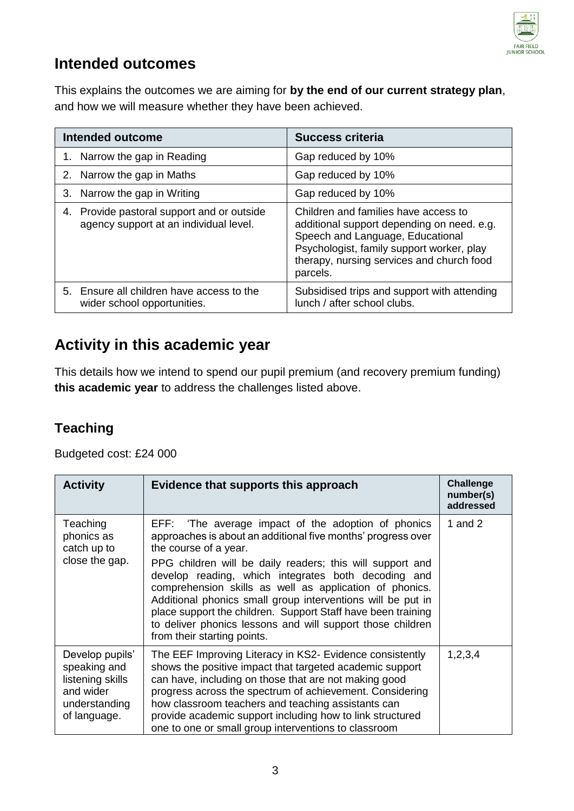

#### **Intended outcomes**

This explains the outcomes we are aiming for **by the end of our current strategy plan**, and how we will measure whether they have been achieved.

| <b>Intended outcome</b>                                                                 | <b>Success criteria</b>                                                                                                                                                                                                      |  |
|-----------------------------------------------------------------------------------------|------------------------------------------------------------------------------------------------------------------------------------------------------------------------------------------------------------------------------|--|
| 1. Narrow the gap in Reading                                                            | Gap reduced by 10%                                                                                                                                                                                                           |  |
| 2. Narrow the gap in Maths                                                              | Gap reduced by 10%                                                                                                                                                                                                           |  |
| 3. Narrow the gap in Writing                                                            | Gap reduced by 10%                                                                                                                                                                                                           |  |
| Provide pastoral support and or outside<br>4.<br>agency support at an individual level. | Children and families have access to<br>additional support depending on need. e.g.<br>Speech and Language, Educational<br>Psychologist, family support worker, play<br>therapy, nursing services and church food<br>parcels. |  |
| Ensure all children have access to the<br>5.<br>wider school opportunities.             | Subsidised trips and support with attending<br>lunch / after school clubs.                                                                                                                                                   |  |

### **Activity in this academic year**

This details how we intend to spend our pupil premium (and recovery premium funding) **this academic year** to address the challenges listed above.

#### **Teaching**

Budgeted cost: £24 000

| <b>Activity</b>                                                                                   | Evidence that supports this approach                                                                                                                                                                                                                                                                                                                                                                                                                                                                                                                    | <b>Challenge</b><br>number(s)<br>addressed |
|---------------------------------------------------------------------------------------------------|---------------------------------------------------------------------------------------------------------------------------------------------------------------------------------------------------------------------------------------------------------------------------------------------------------------------------------------------------------------------------------------------------------------------------------------------------------------------------------------------------------------------------------------------------------|--------------------------------------------|
| Teaching<br>phonics as<br>catch up to<br>close the gap.                                           | EFF: 'The average impact of the adoption of phonics<br>approaches is about an additional five months' progress over<br>the course of a year.<br>PPG children will be daily readers; this will support and<br>develop reading, which integrates both decoding and<br>comprehension skills as well as application of phonics.<br>Additional phonics small group interventions will be put in<br>place support the children. Support Staff have been training<br>to deliver phonics lessons and will support those children<br>from their starting points. | 1 and 2                                    |
| Develop pupils'<br>speaking and<br>listening skills<br>and wider<br>understanding<br>of language. | The EEF Improving Literacy in KS2- Evidence consistently<br>shows the positive impact that targeted academic support<br>can have, including on those that are not making good<br>progress across the spectrum of achievement. Considering<br>how classroom teachers and teaching assistants can<br>provide academic support including how to link structured<br>one to one or small group interventions to classroom                                                                                                                                    | 1,2,3,4                                    |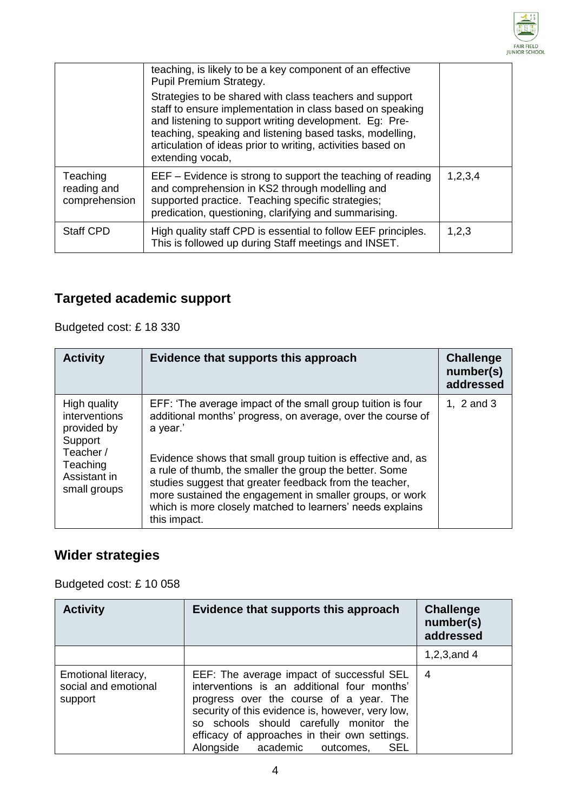

|                                          | teaching, is likely to be a key component of an effective<br>Pupil Premium Strategy.<br>Strategies to be shared with class teachers and support<br>staff to ensure implementation in class based on speaking<br>and listening to support writing development. Eg: Pre-<br>teaching, speaking and listening based tasks, modelling,<br>articulation of ideas prior to writing, activities based on<br>extending vocab, |         |
|------------------------------------------|-----------------------------------------------------------------------------------------------------------------------------------------------------------------------------------------------------------------------------------------------------------------------------------------------------------------------------------------------------------------------------------------------------------------------|---------|
| Teaching<br>reading and<br>comprehension | $EEF - Evidence$ is strong to support the teaching of reading<br>and comprehension in KS2 through modelling and<br>supported practice. Teaching specific strategies;<br>predication, questioning, clarifying and summarising.                                                                                                                                                                                         | 1,2,3,4 |
| <b>Staff CPD</b>                         | High quality staff CPD is essential to follow EEF principles.<br>This is followed up during Staff meetings and INSET.                                                                                                                                                                                                                                                                                                 | 1,2,3   |

### **Targeted academic support**

Budgeted cost: £ 18 330

| <b>Activity</b>                                                                                                  | Evidence that supports this approach                                                                                                                                                                                                                                                                                                                                                                                                                                  | <b>Challenge</b><br>number(s)<br>addressed |
|------------------------------------------------------------------------------------------------------------------|-----------------------------------------------------------------------------------------------------------------------------------------------------------------------------------------------------------------------------------------------------------------------------------------------------------------------------------------------------------------------------------------------------------------------------------------------------------------------|--------------------------------------------|
| High quality<br>interventions<br>provided by<br>Support<br>Teacher /<br>Teaching<br>Assistant in<br>small groups | EFF: 'The average impact of the small group tuition is four<br>additional months' progress, on average, over the course of<br>a year.'<br>Evidence shows that small group tuition is effective and, as<br>a rule of thumb, the smaller the group the better. Some<br>studies suggest that greater feedback from the teacher,<br>more sustained the engagement in smaller groups, or work<br>which is more closely matched to learners' needs explains<br>this impact. | 1, $2$ and $3$                             |

### **Wider strategies**

Budgeted cost: £ 10 058

| <b>Activity</b>                                        | Evidence that supports this approach                                                                                                                                                                                                                                                                                              | <b>Challenge</b><br>number(s)<br>addressed |
|--------------------------------------------------------|-----------------------------------------------------------------------------------------------------------------------------------------------------------------------------------------------------------------------------------------------------------------------------------------------------------------------------------|--------------------------------------------|
|                                                        |                                                                                                                                                                                                                                                                                                                                   | 1,2,3, and $4$                             |
| Emotional literacy,<br>social and emotional<br>support | EEF: The average impact of successful SEL<br>interventions is an additional four months'<br>progress over the course of a year. The<br>security of this evidence is, however, very low,<br>so schools should carefully monitor the<br>efficacy of approaches in their own settings.<br>Alongside academic outcomes,<br><b>SEL</b> | 4                                          |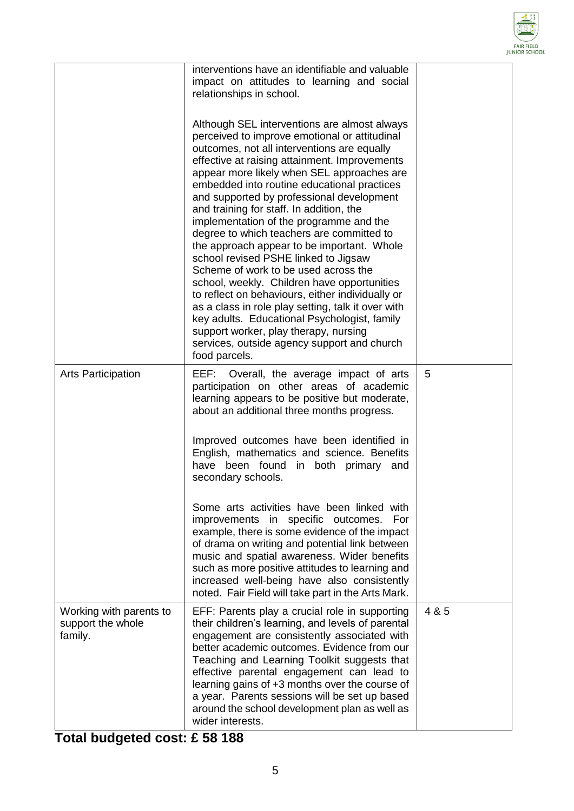

|                                                         | interventions have an identifiable and valuable<br>impact on attitudes to learning and social<br>relationships in school.<br>Although SEL interventions are almost always<br>perceived to improve emotional or attitudinal<br>outcomes, not all interventions are equally<br>effective at raising attainment. Improvements<br>appear more likely when SEL approaches are<br>embedded into routine educational practices<br>and supported by professional development<br>and training for staff. In addition, the<br>implementation of the programme and the<br>degree to which teachers are committed to<br>the approach appear to be important. Whole<br>school revised PSHE linked to Jigsaw<br>Scheme of work to be used across the<br>school, weekly. Children have opportunities<br>to reflect on behaviours, either individually or<br>as a class in role play setting, talk it over with<br>key adults. Educational Psychologist, family<br>support worker, play therapy, nursing<br>services, outside agency support and church<br>food parcels. |       |
|---------------------------------------------------------|----------------------------------------------------------------------------------------------------------------------------------------------------------------------------------------------------------------------------------------------------------------------------------------------------------------------------------------------------------------------------------------------------------------------------------------------------------------------------------------------------------------------------------------------------------------------------------------------------------------------------------------------------------------------------------------------------------------------------------------------------------------------------------------------------------------------------------------------------------------------------------------------------------------------------------------------------------------------------------------------------------------------------------------------------------|-------|
| <b>Arts Participation</b>                               | EEF: Overall, the average impact of arts<br>participation on other areas of academic<br>learning appears to be positive but moderate,<br>about an additional three months progress.                                                                                                                                                                                                                                                                                                                                                                                                                                                                                                                                                                                                                                                                                                                                                                                                                                                                      | 5     |
|                                                         | Improved outcomes have been identified in<br>English, mathematics and science. Benefits<br>have been found<br>in both primary<br>and<br>secondary schools.                                                                                                                                                                                                                                                                                                                                                                                                                                                                                                                                                                                                                                                                                                                                                                                                                                                                                               |       |
|                                                         | Some arts activities have been linked with<br>improvements in specific outcomes. For<br>example, there is some evidence of the impact<br>of drama on writing and potential link between<br>music and spatial awareness. Wider benefits<br>such as more positive attitudes to learning and<br>increased well-being have also consistently<br>noted. Fair Field will take part in the Arts Mark.                                                                                                                                                                                                                                                                                                                                                                                                                                                                                                                                                                                                                                                           |       |
| Working with parents to<br>support the whole<br>family. | EFF: Parents play a crucial role in supporting<br>their children's learning, and levels of parental<br>engagement are consistently associated with<br>better academic outcomes. Evidence from our<br>Teaching and Learning Toolkit suggests that<br>effective parental engagement can lead to<br>learning gains of +3 months over the course of<br>a year. Parents sessions will be set up based<br>around the school development plan as well as<br>wider interests.                                                                                                                                                                                                                                                                                                                                                                                                                                                                                                                                                                                    | 4 & 5 |

**Total budgeted cost: £ 58 188**